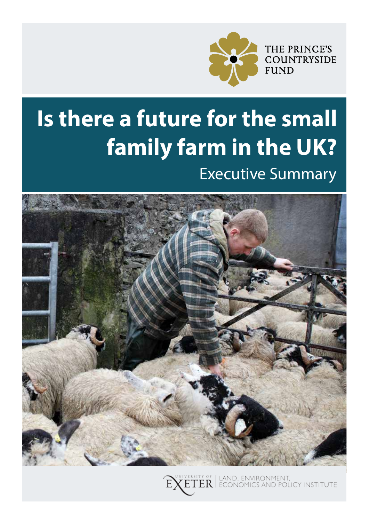

# **Is there a future for the small family farm in the UK?** Executive Summary



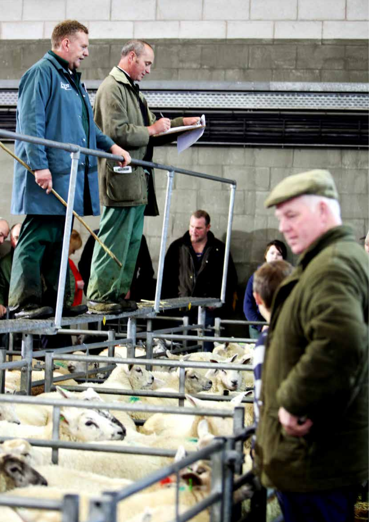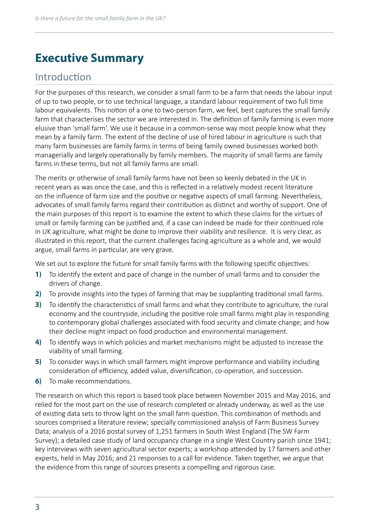## **Executive Summary**

#### Introduction

For the purposes of this research, we consider a small farm to be a farm that needs the labour input of up to two people, or to use technical language, a standard labour requirement of two full time labour equivalents. This notion of a one to two-person farm, we feel, best captures the small family farm that characterises the sector we are interested in. The definition of family farming is even more elusive than 'small farm'. We use it because in a common-sense way most people know what they mean by a family farm. The extent of the decline of use of hired labour in agriculture is such that many farm businesses are family farms in terms of being family owned businesses worked both managerially and largely operationally by family members. The majority of small farms are family farms in these terms, but not all family farms are small.

The merits or otherwise of small family farms have not been so keenly debated in the UK in recent years as was once the case, and this is reflected in a relatively modest recent literature on the influence of farm size and the positive or negative aspects of small farming. Nevertheless, advocates of small family farms regard their contribution as distinct and worthy of support. One of the main purposes of this report is to examine the extent to which these claims for the virtues of small or family farming can be justified and, if a case can indeed be made for their continued role in UK agriculture, what might be done to improve their viability and resilience. It is very clear, as illustrated in this report, that the current challenges facing agriculture as a whole and, we would argue, small farms in particular, are very grave.

We set out to explore the future for small family farms with the following specific objectives:

- **1)** To identify the extent and pace of change in the number of small farms and to consider the drivers of change.
- **2)** To provide insights into the types of farming that may be supplanting traditional small farms.
- **3)** To identify the characteristics of small farms and what they contribute to agriculture, the rural economy and the countryside, including the positive role small farms might play in responding to contemporary global challenges associated with food security and climate change; and how their decline might impact on food production and environmental management.
- **4)** To identify ways in which policies and market mechanisms might be adjusted to increase the viability of small farming.
- **5)** To consider ways in which small farmers might improve performance and viability including consideration of efficiency, added value, diversification, co-operation, and succession.
- **6)** To make recommendations.

The research on which this report is based took place between November 2015 and May 2016, and relied for the most part on the use of research completed or already underway, as well as the use of existing data sets to throw light on the small farm question. This combination of methods and sources comprised a literature review; specially commissioned analysis of Farm Business Survey Data; analysis of a 2016 postal survey of 1,251 farmers in South West England (The SW Farm Survey); a detailed case study of land occupancy change in a single West Country parish since 1941; key interviews with seven agricultural sector experts; a workshop attended by 17 farmers and other experts, held in May 2016; and 21 responses to a call for evidence. Taken together, we argue that the evidence from this range of sources presents a compelling and rigorous case.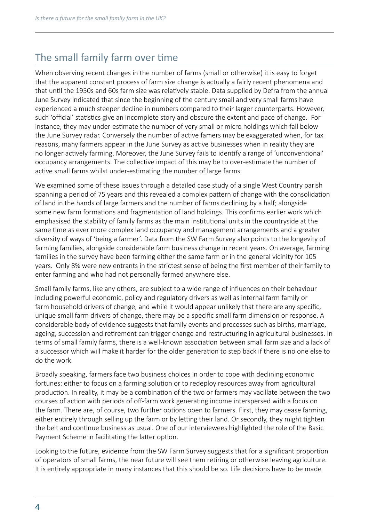#### The small family farm over time

When observing recent changes in the number of farms (small or otherwise) it is easy to forget that the apparent constant process of farm size change is actually a fairly recent phenomena and that until the 1950s and 60s farm size was relatively stable. Data supplied by Defra from the annual June Survey indicated that since the beginning of the century small and very small farms have experienced a much steeper decline in numbers compared to their larger counterparts. However, such 'official' statistics give an incomplete story and obscure the extent and pace of change. For instance, they may under-estimate the number of very small or micro holdings which fall below the June Survey radar. Conversely the number of active famers may be exaggerated when, for tax reasons, many farmers appear in the June Survey as active businesses when in reality they are no longer actively farming. Moreover, the June Survey fails to identify a range of 'unconventional' occupancy arrangements. The collective impact of this may be to over-estimate the number of active small farms whilst under-estimating the number of large farms.

We examined some of these issues through a detailed case study of a single West Country parish spanning a period of 75 years and this revealed a complex pattern of change with the consolidation of land in the hands of large farmers and the number of farms declining by a half; alongside some new farm formations and fragmentation of land holdings. This confirms earlier work which emphasised the stability of family farms as the main institutional units in the countryside at the same time as ever more complex land occupancy and management arrangements and a greater diversity of ways of 'being a farmer'. Data from the SW Farm Survey also points to the longevity of farming families, alongside considerable farm business change in recent years. On average, farming families in the survey have been farming either the same farm or in the general vicinity for 105 years. Only 8% were new entrants in the strictest sense of being the first member of their family to enter farming and who had not personally farmed anywhere else.

Small family farms, like any others, are subject to a wide range of influences on their behaviour including powerful economic, policy and regulatory drivers as well as internal farm family or farm household drivers of change, and while it would appear unlikely that there are any specific, unique small farm drivers of change, there may be a specific small farm dimension or response. A considerable body of evidence suggests that family events and processes such as births, marriage, ageing, succession and retirement can trigger change and restructuring in agricultural businesses. In terms of small family farms, there is a well-known association between small farm size and a lack of a successor which will make it harder for the older generation to step back if there is no one else to do the work.

Broadly speaking, farmers face two business choices in order to cope with declining economic fortunes: either to focus on a farming solution or to redeploy resources away from agricultural production. In reality, it may be a combination of the two or farmers may vacillate between the two courses of action with periods of off-farm work generating income interspersed with a focus on the farm. There are, of course, two further options open to farmers. First, they may cease farming, either entirely through selling up the farm or by letting their land. Or secondly, they might tighten the belt and continue business as usual. One of our interviewees highlighted the role of the Basic Payment Scheme in facilitating the latter option.

Looking to the future, evidence from the SW Farm Survey suggests that for a significant proportion of operators of small farms, the near future will see them retiring or otherwise leaving agriculture. It is entirely appropriate in many instances that this should be so. Life decisions have to be made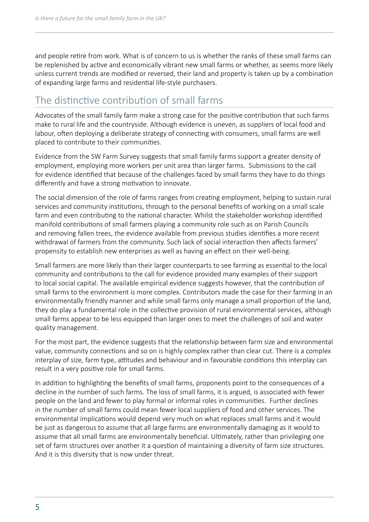and people retire from work. What is of concern to us is whether the ranks of these small farms can be replenished by active and economically vibrant new small farms or whether, as seems more likely unless current trends are modified or reversed, their land and property is taken up by a combination of expanding large farms and residential life-style purchasers.

#### The distinctive contribution of small farms

Advocates of the small family farm make a strong case for the positive contribution that such farms make to rural life and the countryside. Although evidence is uneven, as suppliers of local food and labour, often deploying a deliberate strategy of connecting with consumers, small farms are well placed to contribute to their communities.

Evidence from the SW Farm Survey suggests that small family farms support a greater density of employment, employing more workers per unit area than larger farms. Submissions to the call for evidence identified that because of the challenges faced by small farms they have to do things differently and have a strong motivation to innovate.

The social dimension of the role of farms ranges from creating employment, helping to sustain rural services and community institutions, through to the personal benefits of working on a small scale farm and even contributing to the national character. Whilst the stakeholder workshop identified manifold contributions of small farmers playing a community role such as on Parish Councils and removing fallen trees, the evidence available from previous studies identifies a more recent withdrawal of farmers from the community. Such lack of social interaction then affects farmers' propensity to establish new enterprises as well as having an effect on their well-being.

Small farmers are more likely than their larger counterparts to see farming as essential to the local community and contributions to the call for evidence provided many examples of their support to local social capital. The available empirical evidence suggests however, that the contribution of small farms to the environment is more complex. Contributors made the case for their farming in an environmentally friendly manner and while small farms only manage a small proportion of the land, they do play a fundamental role in the collective provision of rural environmental services, although small farms appear to be less equipped than larger ones to meet the challenges of soil and water quality management.

For the most part, the evidence suggests that the relationship between farm size and environmental value, community connections and so on is highly complex rather than clear cut. There is a complex interplay of size, farm type, attitudes and behaviour and in favourable conditions this interplay can result in a very positive role for small farms.

In addition to highlighting the benefits of small farms, proponents point to the consequences of a decline in the number of such farms. The loss of small farms, it is argued, is associated with fewer people on the land and fewer to play formal or informal roles in communities. Further declines in the number of small farms could mean fewer local suppliers of food and other services. The environmental implications would depend very much on what replaces small farms and it would be just as dangerous to assume that all large farms are environmentally damaging as it would to assume that all small farms are environmentally beneficial. Ultimately, rather than privileging one set of farm structures over another it a question of maintaining a diversity of farm size structures. And it is this diversity that is now under threat.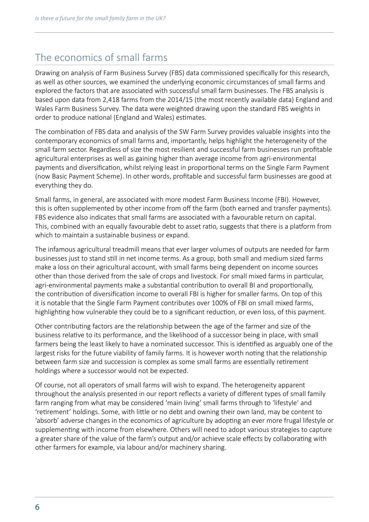#### The economics of small farms

Drawing on analysis of Farm Business Survey (FBS) data commissioned specifically for this research, as well as other sources, we examined the underlying economic circumstances of small farms and explored the factors that are associated with successful small farm businesses. The FBS analysis is based upon data from 2,418 farms from the 2014/15 (the most recently available data) England and Wales Farm Business Survey. The data were weighted drawing upon the standard FBS weights in order to produce national (England and Wales) estimates.

The combination of FBS data and analysis of the SW Farm Survey provides valuable insights into the contemporary economics of small farms and, importantly, helps highlight the heterogeneity of the small farm sector. Regardless of size the most resilient and successful farm businesses run profitable agricultural enterprises as well as gaining higher than average income from agri-environmental payments and diversification, whilst relying least in proportional terms on the Single Farm Payment (now Basic Payment Scheme). In other words, profitable and successful farm businesses are good at everything they do.

Small farms, in general, are associated with more modest Farm Business Income (FBI). However, this is often supplemented by other income from off the farm (both earned and transfer payments). FBS evidence also indicates that small farms are associated with a favourable return on capital. This, combined with an equally favourable debt to asset ratio, suggests that there is a platform from which to maintain a sustainable business or expand.

The infamous agricultural treadmill means that ever larger volumes of outputs are needed for farm businesses just to stand still in net income terms. As a group, both small and medium sized farms make a loss on their agricultural account, with small farms being dependent on income sources other than those derived from the sale of crops and livestock. For small mixed farms in particular, agri-environmental payments make a substantial contribution to overall BI and proportionally, the contribution of diversification income to overall FBI is higher for smaller farms. On top of this it is notable that the Single Farm Payment contributes over 100% of FBI on small mixed farms, highlighting how vulnerable they could be to a significant reduction, or even loss, of this payment.

Other contributing factors are the relationship between the age of the farmer and size of the business relative to its performance, and the likelihood of a successor being in place, with small farmers being the least likely to have a nominated successor. This is identified as arguably one of the largest risks for the future viability of family farms. It is however worth noting that the relationship between farm size and succession is complex as some small farms are essentially retirement holdings where a successor would not be expected.

Of course, not all operators of small farms will wish to expand. The heterogeneity apparent throughout the analysis presented in our report reflects a variety of different types of small family farm ranging from what may be considered 'main living' small farms through to 'lifestyle' and 'retirement' holdings. Some, with little or no debt and owning their own land, may be content to 'absorb' adverse changes in the economics of agriculture by adopting an ever more frugal lifestyle or supplementing with income from elsewhere. Others will need to adopt various strategies to capture a greater share of the value of the farm's output and/or achieve scale effects by collaborating with other farmers for example, via labour and/or machinery sharing.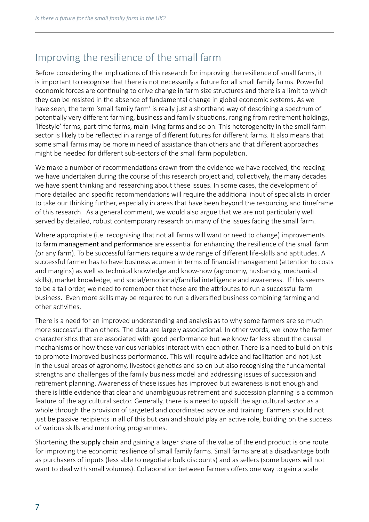#### Improving the resilience of the small farm

Before considering the implications of this research for improving the resilience of small farms, it is important to recognise that there is not necessarily a future for all small family farms. Powerful economic forces are continuing to drive change in farm size structures and there is a limit to which they can be resisted in the absence of fundamental change in global economic systems. As we have seen, the term 'small family farm' is really just a shorthand way of describing a spectrum of potentially very different farming, business and family situations, ranging from retirement holdings, 'lifestyle' farms, part-time farms, main living farms and so on. This heterogeneity in the small farm sector is likely to be reflected in a range of different futures for different farms. It also means that some small farms may be more in need of assistance than others and that different approaches might be needed for different sub-sectors of the small farm population.

We make a number of recommendations drawn from the evidence we have received, the reading we have undertaken during the course of this research project and, collectively, the many decades we have spent thinking and researching about these issues. In some cases, the development of more detailed and specific recommendations will require the additional input of specialists in order to take our thinking further, especially in areas that have been beyond the resourcing and timeframe of this research. As a general comment, we would also argue that we are not particularly well served by detailed, robust contemporary research on many of the issues facing the small farm.

Where appropriate (i.e. recognising that not all farms will want or need to change) improvements to farm management and performance are essential for enhancing the resilience of the small farm (or any farm). To be successful farmers require a wide range of different life-skills and aptitudes. A successful farmer has to have business acumen in terms of financial management (attention to costs and margins) as well as technical knowledge and know-how (agronomy, husbandry, mechanical skills), market knowledge, and social/emotional/familial intelligence and awareness. If this seems to be a tall order, we need to remember that these are the attributes to run a successful farm business. Even more skills may be required to run a diversified business combining farming and other activities.

There is a need for an improved understanding and analysis as to why some farmers are so much more successful than others. The data are largely associational. In other words, we know the farmer characteristics that are associated with good performance but we know far less about the causal mechanisms or how these various variables interact with each other. There is a need to build on this to promote improved business performance. This will require advice and facilitation and not just in the usual areas of agronomy, livestock genetics and so on but also recognising the fundamental strengths and challenges of the family business model and addressing issues of succession and retirement planning. Awareness of these issues has improved but awareness is not enough and there is little evidence that clear and unambiguous retirement and succession planning is a common feature of the agricultural sector. Generally, there is a need to upskill the agricultural sector as a whole through the provision of targeted and coordinated advice and training. Farmers should not just be passive recipients in all of this but can and should play an active role, building on the success of various skills and mentoring programmes.

Shortening the supply chain and gaining a larger share of the value of the end product is one route for improving the economic resilience of small family farms. Small farms are at a disadvantage both as purchasers of inputs (less able to negotiate bulk discounts) and as sellers (some buyers will not want to deal with small volumes). Collaboration between farmers offers one way to gain a scale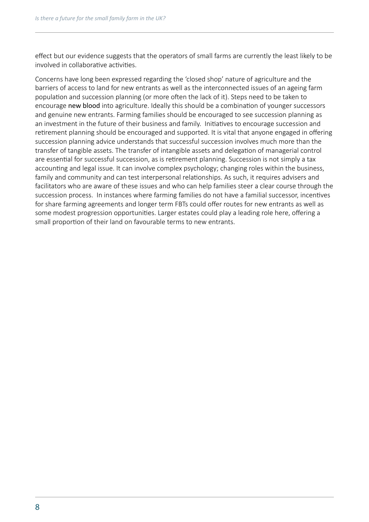effect but our evidence suggests that the operators of small farms are currently the least likely to be involved in collaborative activities.

Concerns have long been expressed regarding the 'closed shop' nature of agriculture and the barriers of access to land for new entrants as well as the interconnected issues of an ageing farm population and succession planning (or more often the lack of it). Steps need to be taken to encourage new blood into agriculture. Ideally this should be a combination of younger successors and genuine new entrants. Farming families should be encouraged to see succession planning as an investment in the future of their business and family. Initiatives to encourage succession and retirement planning should be encouraged and supported. It is vital that anyone engaged in offering succession planning advice understands that successful succession involves much more than the transfer of tangible assets. The transfer of intangible assets and delegation of managerial control are essential for successful succession, as is retirement planning. Succession is not simply a tax accounting and legal issue. It can involve complex psychology; changing roles within the business, family and community and can test interpersonal relationships. As such, it requires advisers and facilitators who are aware of these issues and who can help families steer a clear course through the succession process. In instances where farming families do not have a familial successor, incentives for share farming agreements and longer term FBTs could offer routes for new entrants as well as some modest progression opportunities. Larger estates could play a leading role here, offering a small proportion of their land on favourable terms to new entrants.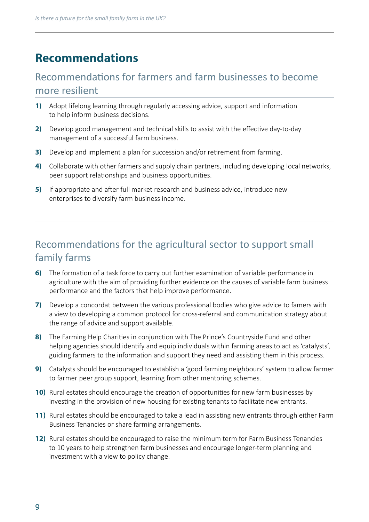## **Recommendations**

#### Recommendations for farmers and farm businesses to become more resilient

- **1)** Adopt lifelong learning through regularly accessing advice, support and information to help inform business decisions.
- **2)** Develop good management and technical skills to assist with the effective day-to-day management of a successful farm business.
- **3)** Develop and implement a plan for succession and/or retirement from farming.
- **4)** Collaborate with other farmers and supply chain partners, including developing local networks, peer support relationships and business opportunities.
- **5)** If appropriate and after full market research and business advice, introduce new enterprises to diversify farm business income.

#### Recommendations for the agricultural sector to support small family farms

- **6)** The formation of a task force to carry out further examination of variable performance in agriculture with the aim of providing further evidence on the causes of variable farm business performance and the factors that help improve performance.
- **7)** Develop a concordat between the various professional bodies who give advice to famers with a view to developing a common protocol for cross-referral and communication strategy about the range of advice and support available.
- **8)** The Farming Help Charities in conjunction with The Prince's Countryside Fund and other helping agencies should identify and equip individuals within farming areas to act as 'catalysts', guiding farmers to the information and support they need and assisting them in this process.
- **9)** Catalysts should be encouraged to establish a 'good farming neighbours' system to allow farmer to farmer peer group support, learning from other mentoring schemes.
- **10)** Rural estates should encourage the creation of opportunities for new farm businesses by investing in the provision of new housing for existing tenants to facilitate new entrants.
- **11)** Rural estates should be encouraged to take a lead in assisting new entrants through either Farm Business Tenancies or share farming arrangements.
- **12)** Rural estates should be encouraged to raise the minimum term for Farm Business Tenancies to 10 years to help strengthen farm businesses and encourage longer-term planning and investment with a view to policy change.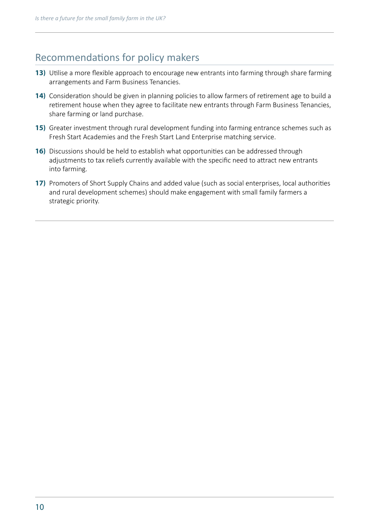#### Recommendations for policy makers

- **13)** Utilise a more flexible approach to encourage new entrants into farming through share farming arrangements and Farm Business Tenancies.
- **14)** Consideration should be given in planning policies to allow farmers of retirement age to build a retirement house when they agree to facilitate new entrants through Farm Business Tenancies, share farming or land purchase.
- **15)** Greater investment through rural development funding into farming entrance schemes such as Fresh Start Academies and the Fresh Start Land Enterprise matching service.
- **16)** Discussions should be held to establish what opportunities can be addressed through adjustments to tax reliefs currently available with the specific need to attract new entrants into farming.
- **17)** Promoters of Short Supply Chains and added value (such as social enterprises, local authorities and rural development schemes) should make engagement with small family farmers a strategic priority.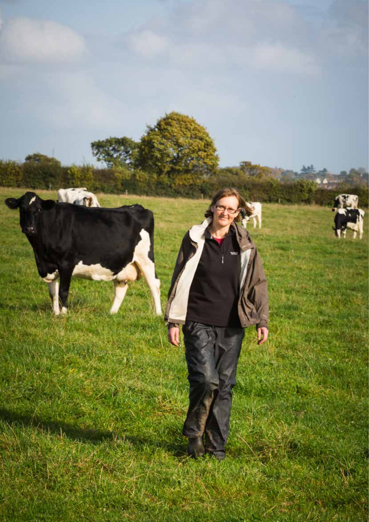